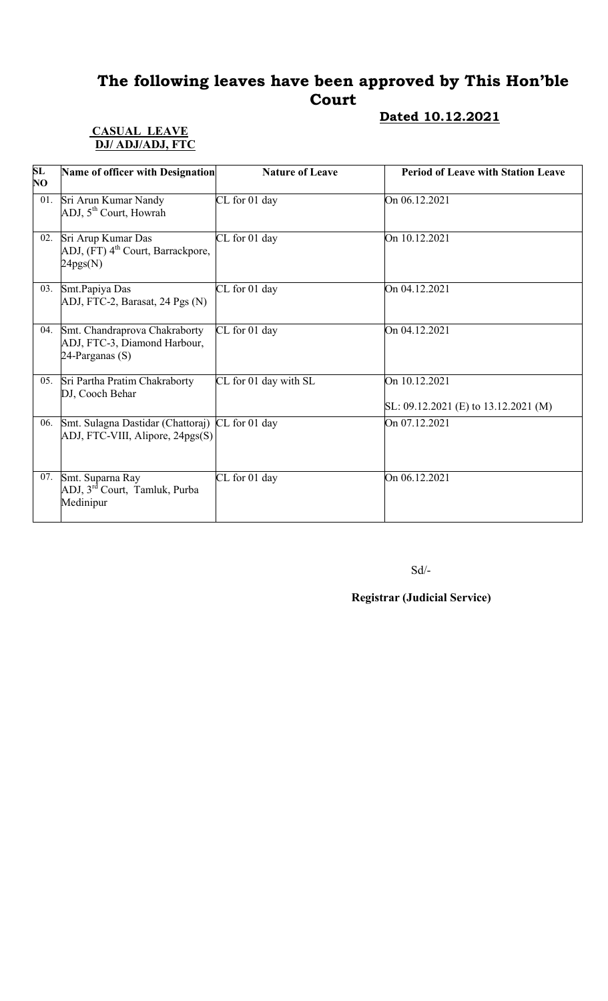# The following leaves have been approved by This Hon'ble Court

# Dated 10.12.2021

#### CASUAL LEAVE DJ/ ADJ/ADJ, FTC

| SL<br>NO | Name of officer with Designation                                                    | <b>Nature of Leave</b> | <b>Period of Leave with Station Leave</b>                 |
|----------|-------------------------------------------------------------------------------------|------------------------|-----------------------------------------------------------|
| 01.      | Sri Arun Kumar Nandy<br>ADJ, 5 <sup>th</sup> Court, Howrah                          | CL for 01 day          | On 06.12.2021                                             |
| 02.      | Sri Arup Kumar Das<br>ADJ, (FT) 4 <sup>th</sup> Court, Barrackpore,<br>24pgs(N)     | CL for 01 day          | On 10.12.2021                                             |
| 03.      | Smt.Papiya Das<br>ADJ, FTC-2, Barasat, 24 Pgs (N)                                   | CL for 01 day          | On 04.12.2021                                             |
| 04.      | Smt. Chandraprova Chakraborty<br>ADJ, FTC-3, Diamond Harbour,<br>24-Parganas $(S)$  | CL for 01 day          | On 04.12.2021                                             |
| 05.      | Sri Partha Pratim Chakraborty<br>DJ, Cooch Behar                                    | CL for 01 day with SL  | On 10.12.2021<br>SL: $09.12.2021$ (E) to $13.12.2021$ (M) |
| 06.      | Smt. Sulagna Dastidar (Chattoraj) CL for 01 day<br>ADJ, FTC-VIII, Alipore, 24pgs(S) |                        | On 07.12.2021                                             |
| 07.      | Smt. Suparna Ray<br>ADJ, 3 <sup>rd</sup> Court, Tamluk, Purba<br>Medinipur          | CL for 01 day          | On 06.12.2021                                             |

Sd/-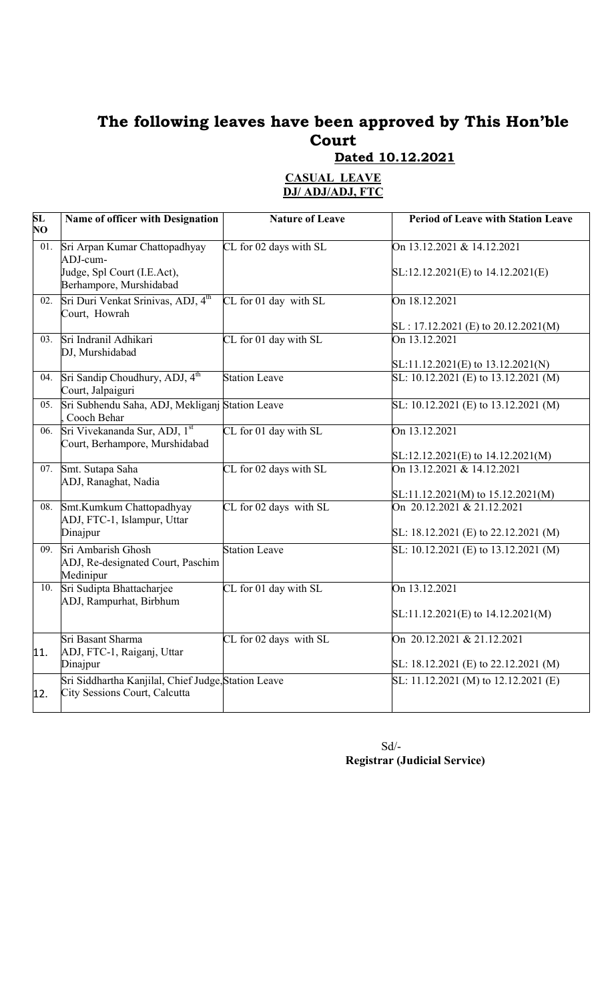# The following leaves have been approved by This Hon'ble Court

**Dated 10.12.2021** 

| <b>CASUAL LEAVE</b> |  |
|---------------------|--|
| DJ/ ADJ/ADJ, FTC    |  |

| SL<br>NO. | Name of officer with Designation                                                     | <b>Nature of Leave</b> | <b>Period of Leave with Station Leave</b>           |
|-----------|--------------------------------------------------------------------------------------|------------------------|-----------------------------------------------------|
| 01.       | Sri Arpan Kumar Chattopadhyay<br>ADJ-cum-                                            | CL for 02 days with SL | On 13.12.2021 & 14.12.2021                          |
|           | Judge, Spl Court (I.E.Act),<br>Berhampore, Murshidabad                               |                        | $SL:12.12.2021(E)$ to $14.12.2021(E)$               |
| 02.       | Sri Duri Venkat Srinivas, ADJ, 4 <sup>th</sup><br>Court, Howrah                      | CL for 01 day with SL  | On 18.12.2021                                       |
|           |                                                                                      |                        | $SL: 17.12.2021$ (E) to 20.12.2021(M)               |
| 03.       | Sri Indranil Adhikari<br>DJ, Murshidabad                                             | CL for 01 day with SL  | On 13.12.2021                                       |
|           |                                                                                      |                        | $SL:11.12.2021(E)$ to $13.12.2021(N)$               |
| 04.       | Sri Sandip Choudhury, ADJ, 4 <sup>th</sup><br>Court, Jalpaiguri                      | <b>Station Leave</b>   | SL: 10.12.2021 (E) to 13.12.2021 (M)                |
| 05.       | Sri Subhendu Saha, ADJ, Mekliganj Station Leave<br>Cooch Behar                       |                        | SL: $10.12.202\overline{1}$ (E) to $13.12.2021$ (M) |
| 06.       | Sri Vivekananda Sur, ADJ, 1st<br>Court, Berhampore, Murshidabad                      | CL for 01 day with SL  | On 13.12.2021                                       |
|           |                                                                                      |                        | $SL:12.12.2021(E)$ to $14.12.2021(M)$               |
| 07.       | Smt. Sutapa Saha<br>ADJ, Ranaghat, Nadia                                             | CL for 02 days with SL | On 13.12.2021 & 14.12.2021                          |
|           |                                                                                      |                        | $SL:11.12.2021(M)$ to 15.12.2021(M)                 |
| 08.       | Smt.Kumkum Chattopadhyay<br>ADJ, FTC-1, Islampur, Uttar                              | CL for 02 days with SL | On 20.12.2021 & 21.12.2021                          |
|           | Dinajpur                                                                             |                        | SL: 18.12.2021 (E) to 22.12.2021 (M)                |
| 09.       | Sri Ambarish Ghosh<br>ADJ, Re-designated Court, Paschim<br>Medinipur                 | <b>Station Leave</b>   | SL: 10.12.2021 (E) to 13.12.2021 (M)                |
| 10.       | Sri Sudipta Bhattacharjee<br>ADJ, Rampurhat, Birbhum                                 | CL for 01 day with SL  | On 13.12.2021                                       |
|           |                                                                                      |                        | $SL:11.12.2021(E)$ to $14.12.2021(M)$               |
| 11.       | Sri Basant Sharma<br>ADJ, FTC-1, Raiganj, Uttar                                      | CL for 02 days with SL | On 20.12.2021 & 21.12.2021                          |
|           | Dinajpur                                                                             |                        | SL: 18.12.2021 (E) to 22.12.2021 (M)                |
| 12.       | Sri Siddhartha Kanjilal, Chief Judge, Station Leave<br>City Sessions Court, Calcutta |                        | SL: 11.12.2021 (M) to 12.12.2021 (E)                |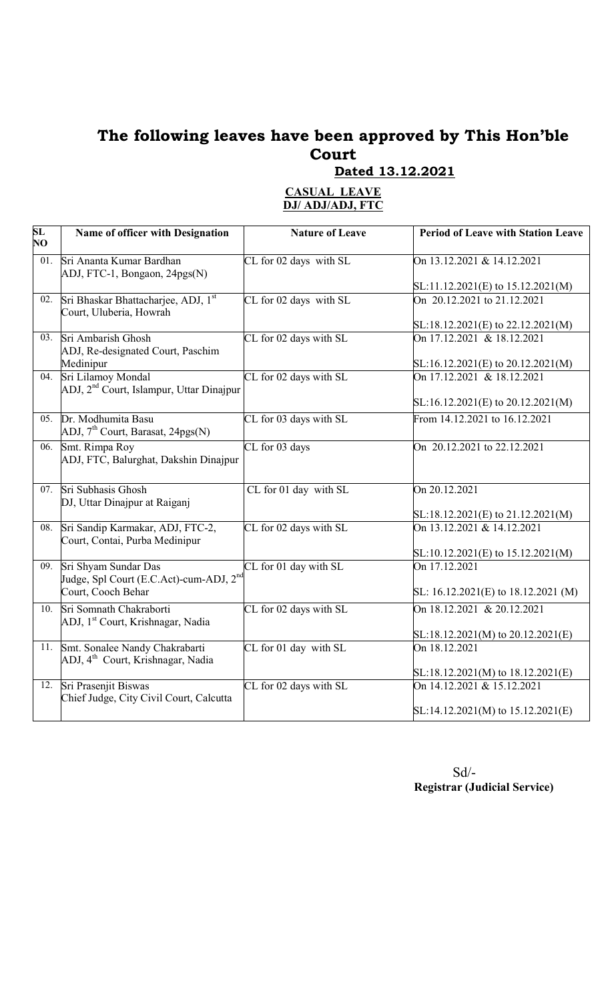# The following leaves have been approved by This Hon'ble Court

Dated 13.12.2021

#### CASUAL LEAVE DJ/ ADJ/ADJ, FTC

| SL<br>NO          | Name of officer with Designation                                                | <b>Nature of Leave</b> | <b>Period of Leave with Station Leave</b> |
|-------------------|---------------------------------------------------------------------------------|------------------------|-------------------------------------------|
| 01.               | Sri Ananta Kumar Bardhan<br>ADJ, FTC-1, Bongaon, 24pgs(N)                       | CL for 02 days with SL | On 13.12.2021 & 14.12.2021                |
|                   |                                                                                 |                        | $SL:11.12.2021(E)$ to $15.12.2021(M)$     |
| 02.               | Sri Bhaskar Bhattacharjee, ADJ, 1st<br>Court, Uluberia, Howrah                  | CL for 02 days with SL | On 20.12.2021 to 21.12.2021               |
|                   |                                                                                 |                        | SL:18.12.2021(E) to 22.12.2021(M)         |
|                   | 03. Sri Ambarish Ghosh<br>ADJ, Re-designated Court, Paschim                     | CL for 02 days with SL | On 17.12.2021 & 18.12.2021                |
|                   | Medinipur                                                                       |                        | $SL:16.12.2021(E)$ to 20.12.2021(M)       |
|                   | 04. Sri Lilamoy Mondal<br>ADJ, 2 <sup>nd</sup> Court, Islampur, Uttar Dinajpur  | CL for 02 days with SL | On 17.12.2021 & 18.12.2021                |
|                   |                                                                                 |                        | SL:16.12.2021(E) to 20.12.2021(M)         |
| 05.               | Dr. Modhumita Basu<br>ADJ, 7 <sup>th</sup> Court, Barasat, 24pgs(N)             | CL for 03 days with SL | From 14.12.2021 to 16.12.2021             |
| $\overline{06}$ . | Smt. Rimpa Roy<br>ADJ, FTC, Balurghat, Dakshin Dinajpur                         | CL for 03 days         | On 20.12.2021 to 22.12.2021               |
|                   | 07. Sri Subhasis Ghosh<br>DJ, Uttar Dinajpur at Raiganj                         | CL for 01 day with SL  | On 20.12.2021                             |
|                   |                                                                                 |                        | $SL:18.12.2021(E)$ to 21.12.2021(M)       |
| 08.               | Sri Sandip Karmakar, ADJ, FTC-2,<br>Court, Contai, Purba Medinipur              | CL for 02 days with SL | On 13.12.2021 & 14.12.2021                |
|                   |                                                                                 |                        | SL:10.12.2021(E) to 15.12.2021(M)         |
| 09.               | Sri Shyam Sundar Das<br>Judge, Spl Court (E.C.Act)-cum-ADJ, 2 <sup>nd</sup>     | CL for 01 day with SL  | On 17.12.2021                             |
|                   | Court, Cooch Behar                                                              |                        | SL: 16.12.2021(E) to 18.12.2021 (M)       |
| 10.               | Sri Somnath Chakraborti<br>ADJ, 1 <sup>st</sup> Court, Krishnagar, Nadia        | CL for 02 days with SL | On 18.12.2021 & 20.12.2021                |
|                   |                                                                                 |                        | $SL:18.12.2021(M)$ to 20.12.2021(E)       |
| 11.               | Smt. Sonalee Nandy Chakrabarti<br>ADJ, 4 <sup>th</sup> Court, Krishnagar, Nadia | CL for 01 day with SL  | On 18.12.2021                             |
|                   |                                                                                 |                        | $SL:18.12.2021(M)$ to $18.12.2021(E)$     |
|                   | 12. Sri Prasenjit Biswas<br>Chief Judge, City Civil Court, Calcutta             | CL for 02 days with SL | On 14.12.2021 & 15.12.2021                |
|                   |                                                                                 |                        | $SL:14.12.2021(M)$ to $15.12.2021(E)$     |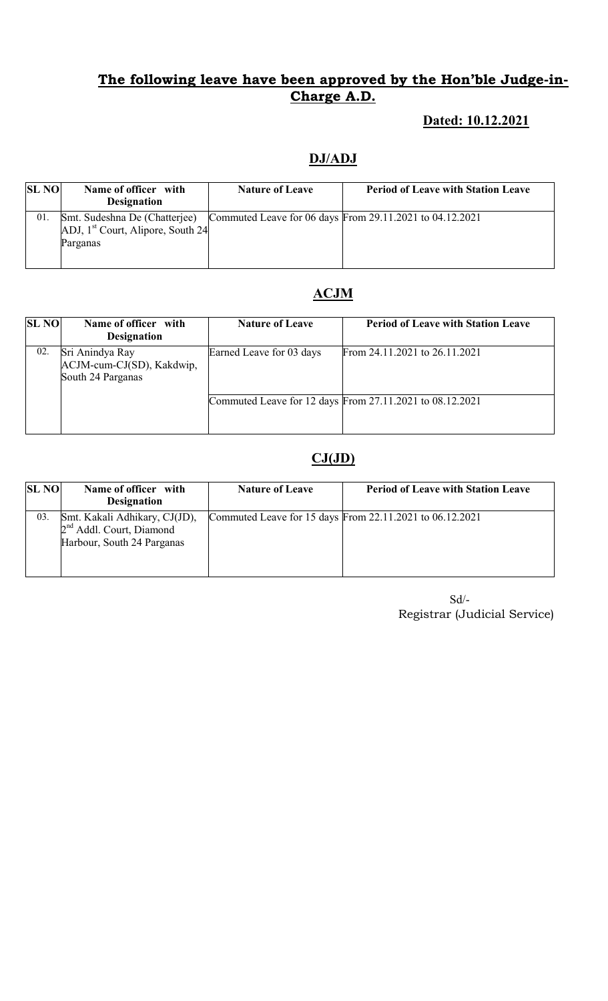# The following leave have been approved by the Hon'ble Judge-in-Charge A.D.

# Dated: 10.12.2021

### DJ/ADJ

| <b>SL NO</b> | Name of officer with<br><b>Designation</b>                                             | <b>Nature of Leave</b> | <b>Period of Leave with Station Leave</b> |
|--------------|----------------------------------------------------------------------------------------|------------------------|-------------------------------------------|
|              |                                                                                        |                        |                                           |
| 01.          | Smt. Sudeshna De (Chatterjee) Commuted Leave for 06 days From 29.11.2021 to 04.12.2021 |                        |                                           |
|              | ADJ, 1 <sup>st</sup> Court, Alipore, South 24                                          |                        |                                           |
|              | Parganas                                                                               |                        |                                           |
|              |                                                                                        |                        |                                           |
|              |                                                                                        |                        |                                           |

# ACJM

| <b>SL NO</b> | Name of officer with<br><b>Designation</b>                        | <b>Nature of Leave</b>   | <b>Period of Leave with Station Leave</b>                |
|--------------|-------------------------------------------------------------------|--------------------------|----------------------------------------------------------|
| 02.          | Sri Anindya Ray<br>ACJM-cum-CJ(SD), Kakdwip,<br>South 24 Parganas | Earned Leave for 03 days | From 24.11.2021 to 26.11.2021                            |
|              |                                                                   |                          | Commuted Leave for 12 days From 27.11.2021 to 08.12.2021 |

# $CJ(JD)$

| <b>SL NO</b> | Name of officer with<br><b>Designation</b>                                                          | <b>Nature of Leave</b> | <b>Period of Leave with Station Leave</b>                |
|--------------|-----------------------------------------------------------------------------------------------------|------------------------|----------------------------------------------------------|
| 03.          | Smt. Kakali Adhikary, CJ(JD),<br>2 <sup>nd</sup> Addl. Court, Diamond<br>Harbour, South 24 Parganas |                        | Commuted Leave for 15 days From 22.11.2021 to 06.12.2021 |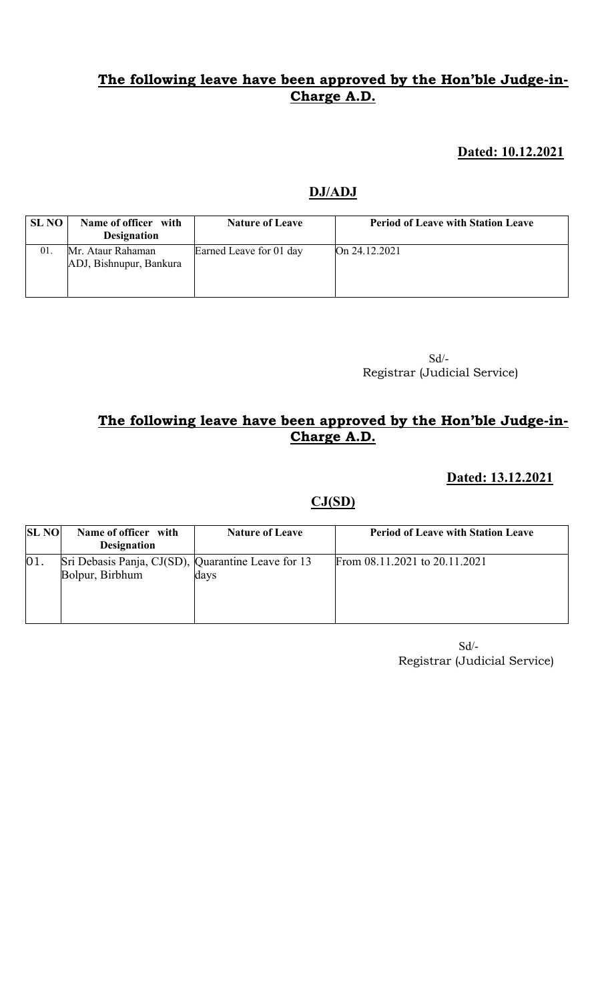### The following leave have been approved by the Hon'ble Judge-in-Charge A.D.

#### Dated: 10.12.2021

#### DJ/ADJ

| <b>SL NO</b> | Name of officer with<br><b>Designation</b>   | <b>Nature of Leave</b>  | <b>Period of Leave with Station Leave</b> |
|--------------|----------------------------------------------|-------------------------|-------------------------------------------|
| 01.          | Mr. Ataur Rahaman<br>ADJ, Bishnupur, Bankura | Earned Leave for 01 day | On 24.12.2021                             |

 Sd/- Registrar (Judicial Service)

# The following leave have been approved by the Hon'ble Judge-in-Charge A.D.

#### Dated: 13.12.2021

### $CJ(SD)$

| <b>SL NO</b> | Name of officer with<br><b>Designation</b>                            | <b>Nature of Leave</b> | <b>Period of Leave with Station Leave</b> |
|--------------|-----------------------------------------------------------------------|------------------------|-------------------------------------------|
| 01.          | Sri Debasis Panja, CJ(SD), Quarantine Leave for 13<br>Bolpur, Birbhum | days                   | From 08.11.2021 to 20.11.2021             |